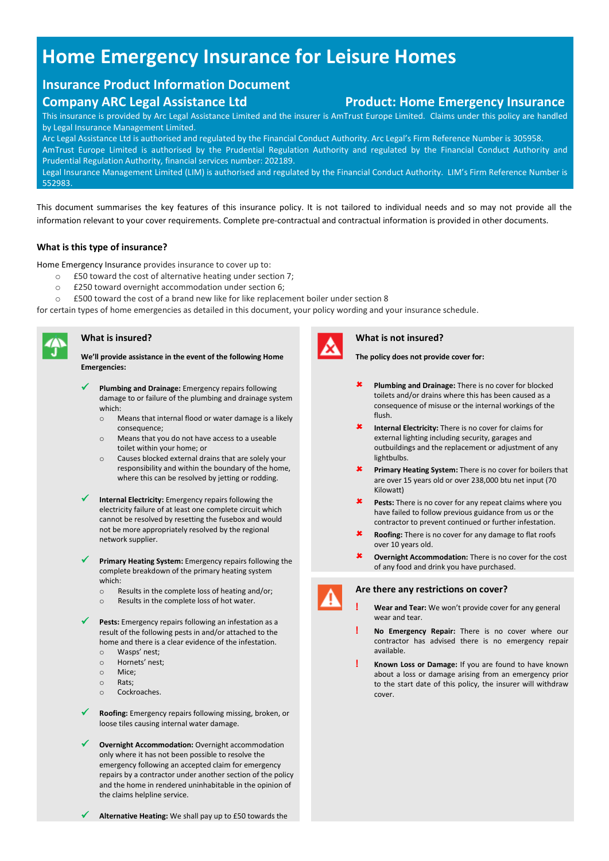# **Home Emergency Insurance for Leisure Homes**

# **Insurance Product Information Document**

This insurance is provided by Arc Legal Assistance Limited and the insurer is AmTrust Europe Limited. Claims under this policy are handled by Legal Insurance Management Limited.

Arc Legal Assistance Ltd is authorised and regulated by the Financial Conduct Authority. Arc Legal's Firm Reference Number is 305958. AmTrust Europe Limited is authorised by the Prudential Regulation Authority and regulated by the Financial Conduct Authority and Prudential Regulation Authority, financial services number: 202189.

Legal Insurance Management Limited (LIM) is authorised and regulated by the Financial Conduct Authority. LIM's Firm Reference Number is 552983.

This document summarises the key features of this insurance policy. It is not tailored to individual needs and so may not provide all the information relevant to your cover requirements. Complete pre-contractual and contractual information is provided in other documents.

# **What is this type of insurance?**

Home Emergency Insurance provides insurance to cover up to:

- o £50 toward the cost of alternative heating under section 7;
- o £250 toward overnight accommodation under section 6;
- o £500 toward the cost of a brand new like for like replacement boiler under section 8

for certain types of home emergencies as detailed in this document, your policy wording and your insurance schedule.



### **What is insured?**

**We'll provide assistance in the event of the following Home Emergencies:**

- ✓ **Plumbing and Drainage:** Emergency repairs following damage to or failure of the plumbing and drainage system which:
	- o Means that internal flood or water damage is a likely consequence;
	- o Means that you do not have access to a useable toilet within your home; or
	- o Causes blocked external drains that are solely your responsibility and within the boundary of the home, where this can be resolved by jetting or rodding.
- Internal Electricity: Emergency repairs following the electricity failure of at least one complete circuit which cannot be resolved by resetting the fusebox and would not be more appropriately resolved by the regional network supplier.
- ✓ **Primary Heating System:** Emergency repairs following the complete breakdown of the primary heating system which:
	- o Results in the complete loss of heating and/or;
	- o Results in the complete loss of hot water.

Pests: Emergency repairs following an infestation as a result of the following pests in and/or attached to the home and there is a clear evidence of the infestation.

- o Wasps' nest;
- o Hornets' nest;
- o Mice;
- o Rats;
- o Cockroaches.
- ✓ **Roofing:** Emergency repairs following missing, broken, or loose tiles causing internal water damage.
- **Overnight Accommodation: Overnight accommodation** only where it has not been possible to resolve the emergency following an accepted claim for emergency repairs by a contractor under another section of the policy and the home in rendered uninhabitable in the opinion of the claims helpline service.



### **What is not insured?**

**The policy does not provide cover for:**

- **Plumbing and Drainage:** There is no cover for blocked toilets and/or drains where this has been caused as a consequence of misuse or the internal workings of the flush.
- **Internal Electricity:** There is no cover for claims for external lighting including security, garages and outbuildings and the replacement or adjustment of any lightbulbs.
- **Primary Heating System:** There is no cover for boilers that are over 15 years old or over 238,000 btu net input (70 Kilowatt)
- **Pests:** There is no cover for any repeat claims where you have failed to follow previous guidance from us or the contractor to prevent continued or further infestation.
- **Roofing:** There is no cover for any damage to flat roofs over 10 years old.
- **Overnight Accommodation:** There is no cover for the cost of any food and drink you have purchased.



# **Are there any restrictions on cover?**

- **! Wear and Tear:** We won't provide cover for any general wear and tear.
- **! No Emergency Repair:** There is no cover where our contractor has advised there is no emergency repair available.
- **! Known Loss or Damage:** If you are found to have known about a loss or damage arising from an emergency prior to the start date of this policy, the insurer will withdraw cover.

**Alternative Heating:** We shall pay up to £50 towards the

# **Company ARC Legal Assistance Ltd Product: Home Emergency Insurance**